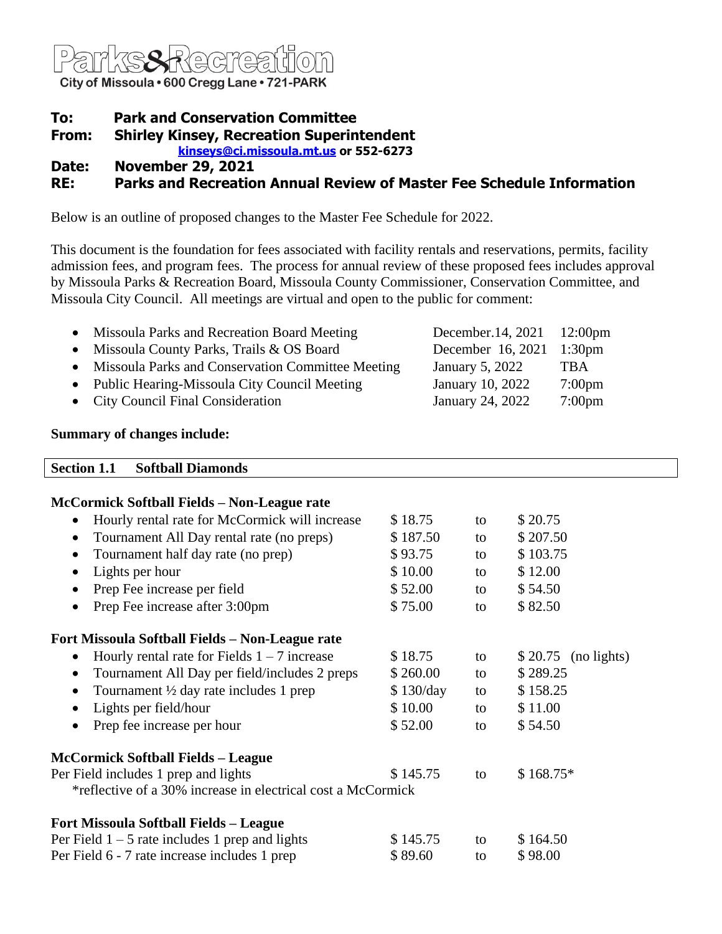

# **To: Park and Conservation Committee**

**From: Shirley Kinsey, Recreation Superintendent**

**[kinseys@ci.missoula.mt.us](mailto:kinseys@ci.missoula.mt.us) or 552-6273**

**Date: November 29, 2021**

# **RE: Parks and Recreation Annual Review of Master Fee Schedule Information**

Below is an outline of proposed changes to the Master Fee Schedule for 2022.

This document is the foundation for fees associated with facility rentals and reservations, permits, facility admission fees, and program fees. The process for annual review of these proposed fees includes approval by Missoula Parks & Recreation Board, Missoula County Commissioner, Conservation Committee, and Missoula City Council. All meetings are virtual and open to the public for comment:

| Missoula Parks and Recreation Board Meeting         | December.14, 2021 12:00pm |                  |
|-----------------------------------------------------|---------------------------|------------------|
| • Missoula County Parks, Trails & OS Board          | December 16, 2021 1:30pm  |                  |
| • Missoula Parks and Conservation Committee Meeting | January 5, 2022           | <b>TBA</b>       |
| • Public Hearing-Missoula City Council Meeting      | January 10, 2022          | $7:00 \text{pm}$ |
| • City Council Final Consideration                  | January 24, 2022          | $7:00 \text{pm}$ |

### **Summary of changes include:**

| <b>Section 1.1</b><br><b>Softball Diamonds</b>                 |           |    |                        |
|----------------------------------------------------------------|-----------|----|------------------------|
| McCormick Softball Fields - Non-League rate                    |           |    |                        |
| Hourly rental rate for McCormick will increase                 | \$18.75   | to | \$20.75                |
| Tournament All Day rental rate (no preps)<br>٠                 | \$187.50  | to | \$207.50               |
| Tournament half day rate (no prep)<br>$\bullet$                | \$93.75   | to | \$103.75               |
| Lights per hour<br>$\bullet$                                   | \$10.00   | to | \$12.00                |
| Prep Fee increase per field                                    | \$52.00   | to | \$54.50                |
| Prep Fee increase after 3:00pm<br>$\bullet$                    | \$75.00   | to | \$82.50                |
| Fort Missoula Softball Fields - Non-League rate                |           |    |                        |
| Hourly rental rate for Fields $1 - 7$ increase<br>$\bullet$    | \$18.75   | to | \$20.75<br>(no lights) |
| Tournament All Day per field/includes 2 preps<br>$\bullet$     | \$260.00  | to | \$289.25               |
| Tournament $\frac{1}{2}$ day rate includes 1 prep<br>$\bullet$ | \$130/day | to | \$158.25               |
| Lights per field/hour<br>٠                                     | \$10.00   | to | \$11.00                |
| Prep fee increase per hour                                     | \$52.00   | to | \$54.50                |
| <b>McCormick Softball Fields - League</b>                      |           |    |                        |
| Per Field includes 1 prep and lights                           | \$145.75  | to | $$168.75*$             |
| *reflective of a 30% increase in electrical cost a McCormick   |           |    |                        |
| <b>Fort Missoula Softball Fields - League</b>                  |           |    |                        |
| Per Field $1 - 5$ rate includes 1 prep and lights              | \$145.75  | to | \$164.50               |

Per Field 6 - 7 rate increase includes 1 prep \$ 89.60 to \$ 98.00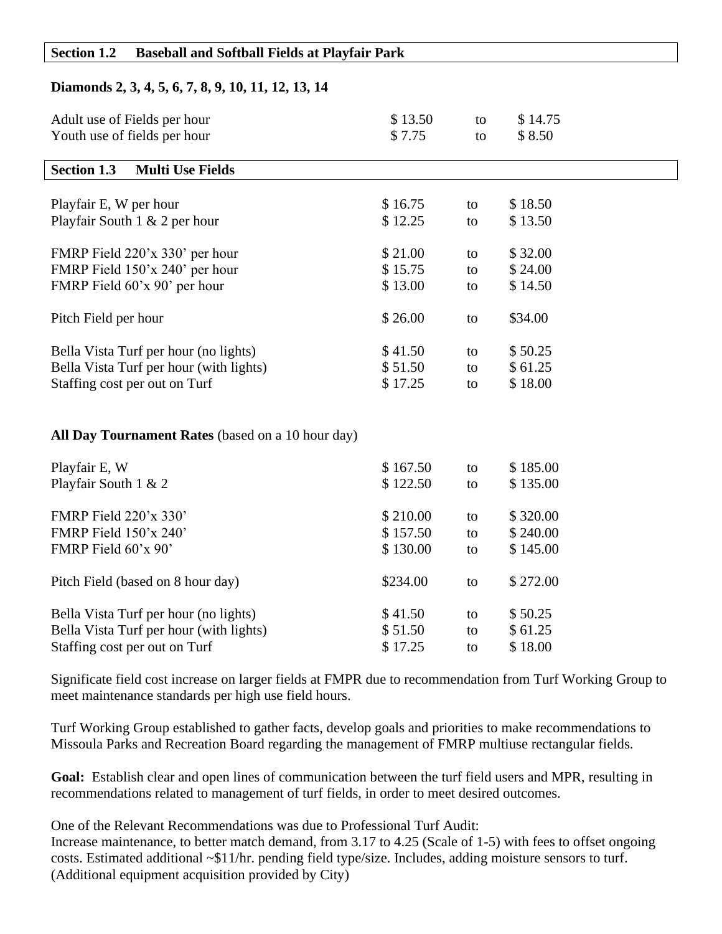#### **Section 1.2 Baseball and Softball Fields at Playfair Park**

## **Diamonds 2, 3, 4, 5, 6, 7, 8, 9, 10, 11, 12, 13, 14**

| Adult use of Fields per hour<br>Youth use of fields per hour | \$13.50<br>\$7.75 | to<br>to | \$14.75<br>\$8.50 |
|--------------------------------------------------------------|-------------------|----------|-------------------|
| <b>Section 1.3</b><br><b>Multi Use Fields</b>                |                   |          |                   |
|                                                              |                   |          |                   |
| Playfair E, W per hour                                       | \$16.75           | to       | \$18.50           |
| Playfair South 1 & 2 per hour                                | \$12.25           | to       | \$13.50           |
| FMRP Field 220'x 330' per hour                               | \$21.00           | to       | \$32.00           |
| FMRP Field 150'x 240' per hour                               | \$15.75           | to       | \$24.00           |
| FMRP Field 60'x 90' per hour                                 | \$13.00           | to       | \$14.50           |
|                                                              |                   |          |                   |
| Pitch Field per hour                                         | \$26.00           | to       | \$34.00           |
|                                                              |                   |          |                   |
| Bella Vista Turf per hour (no lights)                        | \$41.50           | to       | \$50.25           |
| Bella Vista Turf per hour (with lights)                      | \$51.50           | to       | \$61.25           |
| Staffing cost per out on Turf                                | \$17.25           | to       | \$18.00           |
|                                                              |                   |          |                   |
|                                                              |                   |          |                   |
| All Day Tournament Rates (based on a 10 hour day)            |                   |          |                   |
| Playfair E, W                                                | \$167.50          | to       | \$185.00          |
| Playfair South 1 & 2                                         | \$122.50          | to       | \$135.00          |
|                                                              |                   |          |                   |
| FMRP Field 220'x 330'                                        | \$210.00          | to       | \$320.00          |
| FMRP Field 150'x 240'                                        | \$157.50          | to       | \$240.00          |
| FMRP Field 60'x 90'                                          | \$130.00          | to       | \$145.00          |
|                                                              |                   |          |                   |
| Pitch Field (based on 8 hour day)                            | \$234.00          | to       | \$272.00          |
|                                                              |                   |          |                   |
| Bella Vista Turf per hour (no lights)                        | \$41.50           | to       | \$50.25           |
| Bella Vista Turf per hour (with lights)                      | \$51.50           | to       | \$61.25           |
| Staffing cost per out on Turf                                | \$17.25           | to       | \$18.00           |

Significate field cost increase on larger fields at FMPR due to recommendation from Turf Working Group to meet maintenance standards per high use field hours.

Turf Working Group established to gather facts, develop goals and priorities to make recommendations to Missoula Parks and Recreation Board regarding the management of FMRP multiuse rectangular fields.

**Goal:** Establish clear and open lines of communication between the turf field users and MPR, resulting in recommendations related to management of turf fields, in order to meet desired outcomes.

One of the Relevant Recommendations was due to Professional Turf Audit:

Increase maintenance, to better match demand, from 3.17 to 4.25 (Scale of 1-5) with fees to offset ongoing costs. Estimated additional ~\$11/hr. pending field type/size. Includes, adding moisture sensors to turf. (Additional equipment acquisition provided by City)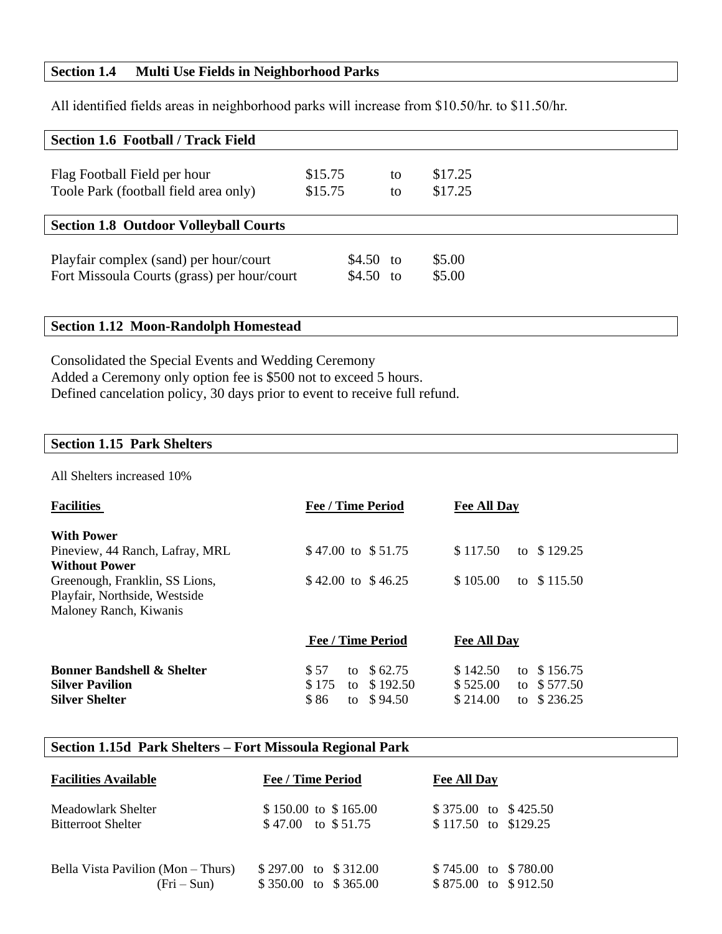### **Section 1.4 Multi Use Fields in Neighborhood Parks**

All identified fields areas in neighborhood parks will increase from \$10.50/hr. to \$11.50/hr.

| <b>Section 1.6 Football / Track Field</b>                                             |         |                         |                  |  |
|---------------------------------------------------------------------------------------|---------|-------------------------|------------------|--|
| Flag Football Field per hour                                                          | \$15.75 | to                      | \$17.25          |  |
| Toole Park (football field area only)                                                 | \$15.75 | to                      | \$17.25          |  |
| <b>Section 1.8 Outdoor Volleyball Courts</b>                                          |         |                         |                  |  |
| Playfair complex (sand) per hour/court<br>Fort Missoula Courts (grass) per hour/court |         | $$4.50$ to<br>\$4.50 to | \$5.00<br>\$5.00 |  |

# **Section 1.12 Moon-Randolph Homestead**

Consolidated the Special Events and Wedding Ceremony Added a Ceremony only option fee is \$500 not to exceed 5 hours. Defined cancelation policy, 30 days prior to event to receive full refund.

#### **Section 1.15 Park Shelters**

All Shelters increased 10%

| <b>Facilities</b>                     | <b>Fee / Time Period</b> | <b>Fee All Day</b>         |
|---------------------------------------|--------------------------|----------------------------|
| <b>With Power</b>                     |                          |                            |
| Pineview, 44 Ranch, Lafray, MRL       | \$47.00 to \$51.75       | \$117.50<br>\$129.25<br>to |
| <b>Without Power</b>                  |                          |                            |
| Greenough, Franklin, SS Lions,        | \$42.00 to \$46.25       | \$105.00<br>\$115.50<br>to |
| Playfair, Northside, Westside         |                          |                            |
| Maloney Ranch, Kiwanis                |                          |                            |
|                                       | <b>Fee / Time Period</b> | <b>Fee All Day</b>         |
| <b>Bonner Bandshell &amp; Shelter</b> | \$57<br>\$62.75<br>to    | \$142.50<br>\$156.75<br>to |
| <b>Silver Pavilion</b>                | \$175<br>\$192.50<br>to  | \$577.50<br>\$525.00<br>to |
| <b>Silver Shelter</b>                 | \$86<br>\$94.50<br>to    | \$214.00<br>to $$236.25$   |

## **Section 1.15d Park Shelters – Fort Missoula Regional Park**

| <b>Facilities Available</b>        | <b>Fee / Time Period</b> | <b>Fee All Day</b>     |
|------------------------------------|--------------------------|------------------------|
| Meadowlark Shelter                 | $$150.00$ to $$165.00$   | \$375.00 to \$425.50   |
| <b>Bitterroot Shelter</b>          | $$47.00$ to $$51.75$     | $$117.50$ to $$129.25$ |
| Bella Vista Pavilion (Mon – Thurs) | \$297.00 to \$312.00     | \$745.00 to \$780.00   |
| $(Fri-Sun)$                        | \$350.00 to \$365.00     | \$875.00 to \$912.50   |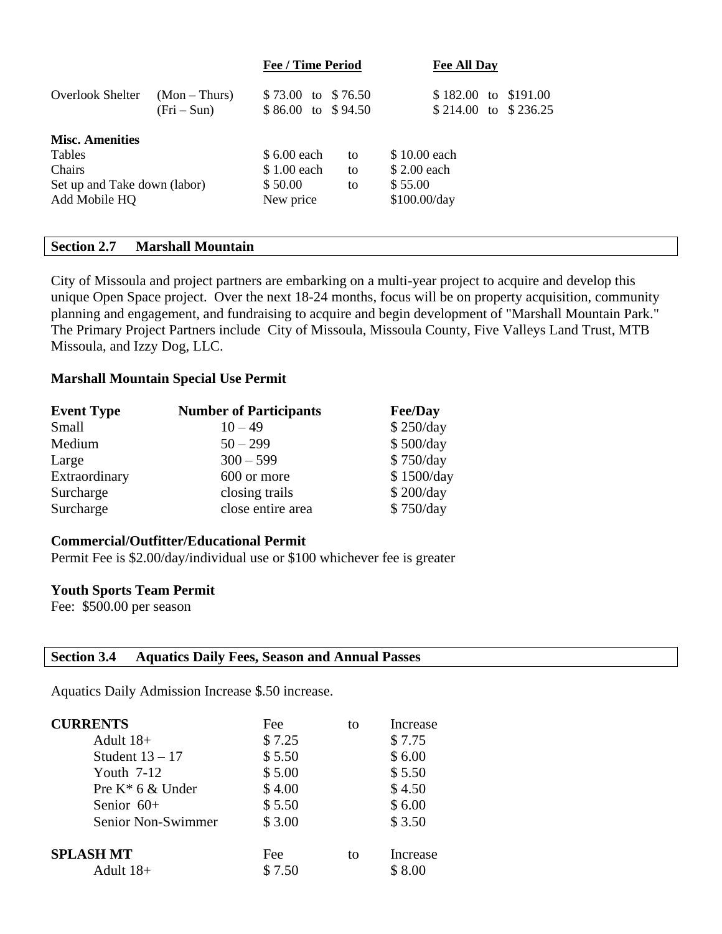|                              |                             | <b>Fee / Time Period</b>                 |    | <b>Fee All Day</b>                           |  |
|------------------------------|-----------------------------|------------------------------------------|----|----------------------------------------------|--|
| <b>Overlook Shelter</b>      | $(Mon-Thus)$<br>$(Fri-Sun)$ | \$73.00 to \$76.50<br>\$86.00 to \$94.50 |    | \$182.00 to \$191.00<br>\$214.00 to \$236.25 |  |
| <b>Misc. Amenities</b>       |                             |                                          |    |                                              |  |
| Tables                       |                             | \$ 6.00 each                             | to | \$10.00 each                                 |  |
| <b>Chairs</b>                |                             | \$1.00 each                              | to | \$2.00 each                                  |  |
| Set up and Take down (labor) |                             | \$50.00<br>to                            |    | \$55.00                                      |  |
| Add Mobile HQ                |                             | New price                                |    | \$100.00/day                                 |  |
|                              |                             |                                          |    |                                              |  |

## **Section 2.7 Marshall Mountain**

City of Missoula and project partners are embarking on a multi-year project to acquire and develop this unique Open Space project. Over the next 18-24 months, focus will be on property acquisition, community planning and engagement, and fundraising to acquire and begin development of "Marshall Mountain Park." The Primary Project Partners include City of Missoula, Missoula County, Five Valleys Land Trust, MTB Missoula, and Izzy Dog, LLC.

#### **Marshall Mountain Special Use Permit**

| <b>Event Type</b> | <b>Number of Participants</b> | <b>Fee/Day</b> |
|-------------------|-------------------------------|----------------|
| Small             | $10 - 49$                     | \$250/day      |
| Medium            | $50 - 299$                    | \$500/day      |
| Large             | $300 - 599$                   | \$750/day      |
| Extraordinary     | 600 or more                   | \$1500/day     |
| Surcharge         | closing trails                | \$200/day      |
| Surcharge         | close entire area             | \$750/day      |

#### **Commercial/Outfitter/Educational Permit**

Permit Fee is \$2.00/day/individual use or \$100 whichever fee is greater

#### **Youth Sports Team Permit**

Fee: \$500.00 per season

#### **Section 3.4 Aquatics Daily Fees, Season and Annual Passes**

Aquatics Daily Admission Increase \$.50 increase.

| <b>CURRENTS</b>     | Fee    | to | Increase |
|---------------------|--------|----|----------|
| Adult 18+           | \$7.25 |    | \$7.75   |
| Student $13 - 17$   | \$5.50 |    | \$6.00   |
| Youth $7-12$        | \$5.00 |    | \$5.50   |
| Pre $K^*$ 6 & Under | \$4.00 |    | \$4.50   |
| Senior $60+$        | \$5.50 |    | \$6.00   |
| Senior Non-Swimmer  | \$3.00 |    | \$3.50   |
| <b>SPLASH MT</b>    | Fee    | to | Increase |
| Adult 18+           | \$7.50 |    | \$8.00   |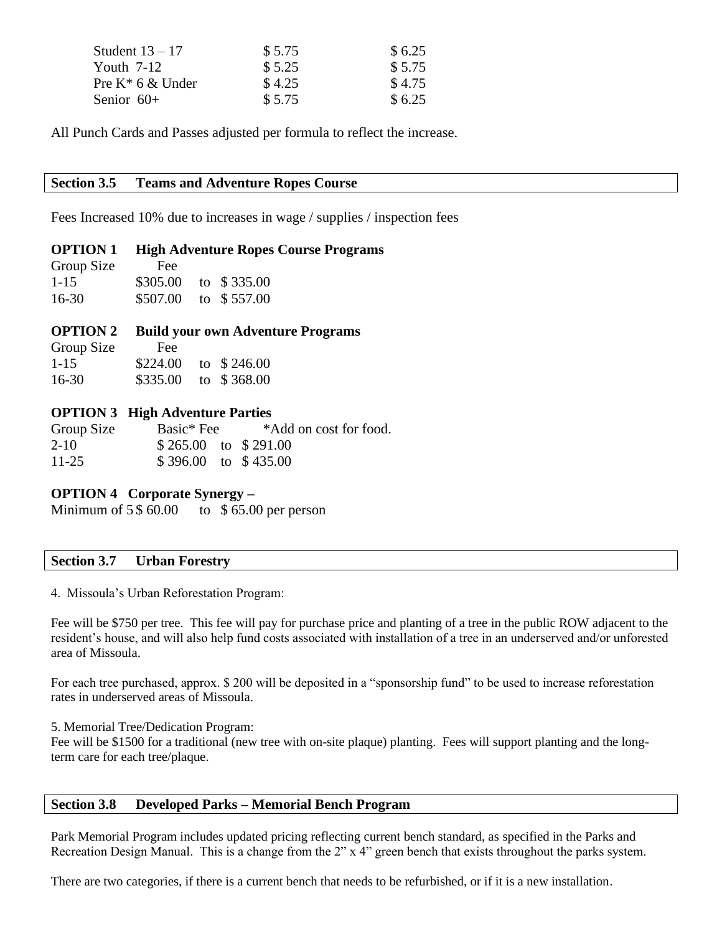| Student $13 - 17$ | \$5.75 | \$6.25 |
|-------------------|--------|--------|
| Youth $7-12$      | \$5.25 | \$5.75 |
| Pre K* 6 & Under  | \$4.25 | \$4.75 |
| Senior 60+        | \$5.75 | \$6.25 |

All Punch Cards and Passes adjusted per formula to reflect the increase.

#### **Section 3.5 Teams and Adventure Ropes Course**

Fees Increased 10% due to increases in wage / supplies / inspection fees

#### **OPTION 1 High Adventure Ropes Course Programs**

| Group Size | Fee      |             |
|------------|----------|-------------|
| $1 - 15$   | \$305.00 | to \$335.00 |
| $16 - 30$  | \$507.00 | to \$557.00 |

#### **OPTION 2 Build your own Adventure Programs**

| Group Size | Fee      |             |
|------------|----------|-------------|
| $1 - 15$   | \$224.00 | to \$246.00 |
| $16-30$    | \$335.00 | to \$368.00 |

#### **OPTION 3 High Adventure Parties**

| Group Size | Basic <sup>*</sup> Fee | *Add on cost for food. |
|------------|------------------------|------------------------|
| $2 - 10$   | $$265.00$ to $$291.00$ |                        |
| $11 - 25$  | $$396.00$ to $$435.00$ |                        |

#### **OPTION 4 Corporate Synergy –**

Minimum of  $5\frac{60.00}{10}$  to  $\frac{65.00}{10}$  per person

#### **Section 3.7 Urban Forestry**

4. Missoula's Urban Reforestation Program:

Fee will be \$750 per tree. This fee will pay for purchase price and planting of a tree in the public ROW adjacent to the resident's house, and will also help fund costs associated with installation of a tree in an underserved and/or unforested area of Missoula.

For each tree purchased, approx. \$ 200 will be deposited in a "sponsorship fund" to be used to increase reforestation rates in underserved areas of Missoula.

5. Memorial Tree/Dedication Program:

Fee will be \$1500 for a traditional (new tree with on-site plaque) planting. Fees will support planting and the longterm care for each tree/plaque.

### **Section 3.8 Developed Parks – Memorial Bench Program**

Park Memorial Program includes updated pricing reflecting current bench standard, as specified in the Parks and Recreation Design Manual. This is a change from the 2" x 4" green bench that exists throughout the parks system.

There are two categories, if there is a current bench that needs to be refurbished, or if it is a new installation.